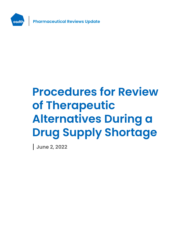

**Pharmaceutical Reviews Update**

# **Procedures for Review of Therapeutic Alternatives During a Drug Supply Shortage**

**June 2, 2022**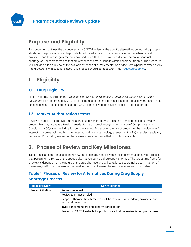

# **Purpose and Eligibility**

This document outlines the procedures for a CADTH review of therapeutic alternatives during a drug supply shortage. The process is used to provide time-limited advice on therapeutic alternatives when federal, provincial, and territorial governments have indicated that there is a need due to a potential or actual shortage of 1 or more therapies that are standard of care in Canada within a therapeutic area. The procedure will include a clinical review of the available evidence and implementation advice from a panel of experts. Any manufacturers with questions about this process should contact CADTH a[t requests@cadth.ca.](mailto:requests@cadth.ca)

# **1. Eligibility**

## **1.1 Drug Eligibility**

Eligibility for review through the *Procedures for Review of Therapeutic Alternatives During a Drug Supply Shortage* will be determined by CADTH at the request of federal, provincial, and territorial governments. Other stakeholders are not able to request that CADTH initiate work on advice related to a drug shortage.

## **1.2 Market Authorization Status**

Reviews related to alternatives during a drug supply shortage may include evidence for use of alternative drug(s) that may not have a Health Canada Notice of Compliance (NOC) or Notice of Compliance with Conditions (NOC/c) for the indication being reviewed. Evidence on the use of drug(s) for the condition(s) of interest may be established by major international health technology assessment (HTA) agencies, regulatory bodies, and/or existing reviews of the relevant clinical evidence that is publicly available.

# **2. Phases of Review and Key Milestones**

[Table 1](#page-1-0) indicates the phases of the review and outlines key tasks within the implementation advice process that pertain to the review of therapeutic alternatives during a drug supply shortage. The target time frame for a review is dependent on the nature of the drug shortage and will be tailored accordingly. Upon initiation of the review, CADTH will determine the timelines required to meet the key milestones set out in Table 1.

## <span id="page-1-0"></span>**Table 1: Phases of Review for Alternatives During Drug Supply Shortage Process**

| <b>Phase of review</b> | <b>Key milestones</b>                                                                                       |
|------------------------|-------------------------------------------------------------------------------------------------------------|
| Project initiation     | Request received                                                                                            |
|                        | Review team assembled                                                                                       |
|                        | Scope of therapeutic alternatives will be reviewed with federal, provincial, and<br>territorial governments |
|                        | Invite panel members and confirm participation                                                              |
|                        | Posted on CADTH website for public notice that the review is being undertaken                               |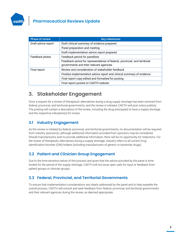

## **Pharmaceutical Reviews Update**

| <b>Phase of review</b> | <b>Key milestones</b>                                                                                                  |
|------------------------|------------------------------------------------------------------------------------------------------------------------|
| Draft advice report    | Draft clinical summary of evidence prepared                                                                            |
|                        | Panel preparation and meeting                                                                                          |
|                        | Draft implementation advice report prepared                                                                            |
| Feedback phase         | Feedback period for panellists                                                                                         |
|                        | Feedback period for representatives of federal, provincial, and territorial<br>governments and their relevant agencies |
| Final report           | Review and consideration of stakeholder feedback                                                                       |
|                        | Finalize implementation advice report and clinical summary of evidence                                                 |
|                        | Final report copy-edited and formatted for posting                                                                     |
|                        | Final report posted on CADTH website                                                                                   |

# **3. Stakeholder Engagement**

Once a request for a review of therapeutic alternatives during a drug supply shortage has been received from federal, provincial, and territorial governments, and the review is initiated, CADTH will post notice publicly. The posting will contain a description of the review, including the drug anticipated to have a supply shortage and the respective indication(s) for review.

#### **3.1 Industry Engagement**

As the review is initiated by federal, provincial, and territorial governments, no documentation will be required from industry sponsor(s), although additional information provided from sponsors may be considered. Should manufacturers wish to provide additional information, there will be no opportunity for redactions. For the review of therapeutic alternatives during a supply shortage, industry refers to all current Drug Identification Number (DIN) holders (including manufacturers of generic or biosimilar drugs).

## **3.2 Patient and Clinician Group Engagement**

Due to the time-sensitive nature of this process and given that the advice provided by the panel is timelimited for the period of the supply shortage, CADTH will not issue open calls for input or feedback from patient groups or clinician groups.

#### **3.3 Federal, Provincial, and Territorial Governments**

To ensure that implementation considerations are clearly addressed by the panel and to help expedite the overall process, CADTH will consult and seek feedback from federal, provincial, and territorial governments and their relevant agencies during the review, as deemed appropriate.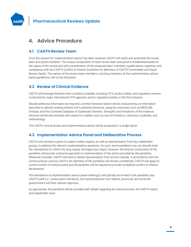

## **4. Advice Procedure**

#### **4.1 CADTH Review Team**

Once the request for implementation advice has been received, CADTH will notify and assemble the review team and panel members. The unique composition of each review team and panel is established based on the nature of the review and with consideration of the proposed team members' qualifications, expertise, and compliance with the *CADTH Conflict of Interest Guidelines for Members of CADTH Committees and Expert Review Panels*. The names of the review team members, including members of the implementation advice panel (panellists), will not be disclosed.

#### **4.2 Review of Clinical Evidence**

CADTH will leverage literature that is publicly available, including HTA, product labels, and regulatory reviews conducted by major international HTA agencies and/or regulatory bodies, in the first instance.

Should additional information be required, a limited literature search will be conducted by an information specialist to identify existing reviews from published literature, using key resources such as MEDLINE, Embase, and the Cochrane Database of Systematic Reviews. Strengths and limitations of the evidence retrieved will be documented with respect to matters such as, but not limited to, relevance, credibility, and methodology.

The CADTH clinical review and implementation advice will be presented in a single report.

#### **4.3 Implementation Advice Panel and Deliberative Process**

CADTH will convene a panel of subject matter experts, as well as representation from key stakeholder groups, to address the relevant implementation questions. As such, some panellists may not directly treat the indication(s) for which the drug supply shortage may impact; however, the diverse composition of the panellists will provide a fulsome approach to implementation of the advice provided by the panellists. Whenever possible, CADTH will seek to obtain representation from across Canada. In accordance with the current policies used by CADTH, the identities of the panellists will remain confidential. CADTH will apply its current conflict of interest policy and all panellists will be required to provide completed conflict of interest declarations.

The attendance at implementation advice panel meeting(s) will typically be limited to the panellists, key CADTH staff (i.e., review team members), and representatives from federal, provincial, and territorial governments and their relevant agencies.

As appropriate, the panellists will be provided with details regarding the advice process, the CADTH report, and stakeholder input.